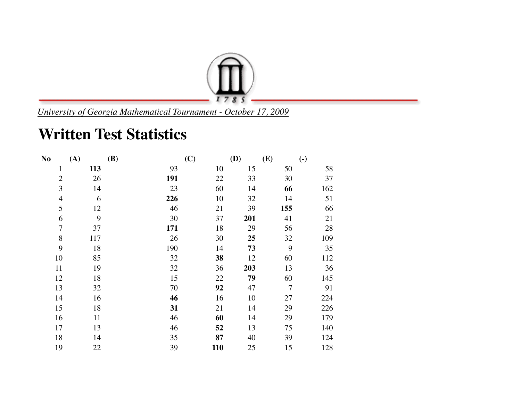

*University of Georgia Mathematical Tournament - October 17, 2009*

## **Written Test Statistics**

| N <sub>0</sub> | (A) | <b>(B)</b> | (C) | (D) | (E)            | $\left( \text{-} \right)$ |
|----------------|-----|------------|-----|-----|----------------|---------------------------|
| $\mathbf{1}$   | 113 | 93         | 10  | 15  | 50             | 58                        |
| $\overline{2}$ | 26  | 191        | 22  | 33  | 30             | 37                        |
| 3              | 14  | 23         | 60  | 14  | 66             | 162                       |
| $\overline{4}$ | 6   | 226        | 10  | 32  | 14             | 51                        |
| 5              | 12  | 46         | 21  | 39  | 155            | 66                        |
| 6              | 9   | 30         | 37  | 201 | 41             | 21                        |
| $\overline{7}$ | 37  | 171        | 18  | 29  | 56             | 28                        |
| 8              | 117 | 26         | 30  | 25  | 32             | 109                       |
| 9              | 18  | 190        | 14  | 73  | 9              | 35                        |
| 10             | 85  | 32         | 38  | 12  | 60             | 112                       |
| 11             | 19  | 32         | 36  | 203 | 13             | 36                        |
| 12             | 18  | 15         | 22  | 79  | 60             | 145                       |
| 13             | 32  | 70         | 92  | 47  | $\overline{7}$ | 91                        |
| 14             | 16  | 46         | 16  | 10  | 27             | 224                       |
| 15             | 18  | 31         | 21  | 14  | 29             | 226                       |
| 16             | 11  | 46         | 60  | 14  | 29             | 179                       |
| 17             | 13  | 46         | 52  | 13  | 75             | 140                       |
| 18             | 14  | 35         | 87  | 40  | 39             | 124                       |
| 19             | 22  | 39         | 110 | 25  | 15             | 128                       |